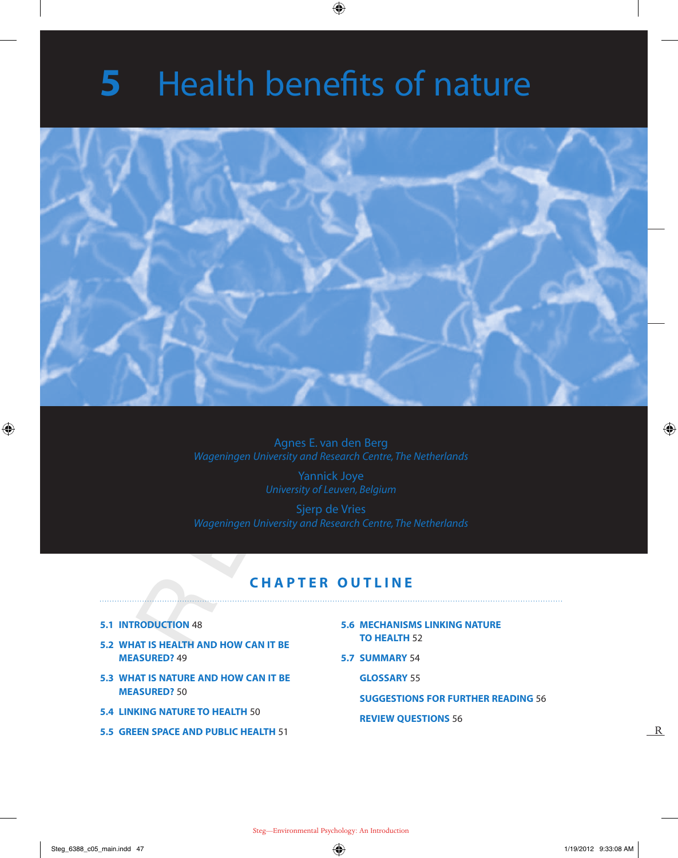# **5** Health benefits of nature

 $\mathbin{\textcircled{\small{-}}}$ 



#### **CHAPTER OUTLINE**

- **5.1 INTRODUCTION** 48
- **5.2 WHAT IS HEALTH AND HOW CAN IT BE MEASURED?** 49
- **5.3 WHAT IS NATURE AND HOW CAN IT BE MEASURED?** 50
- **5.4 LINKING NATURE TO HEALTH** 50
- **5.5 GREEN SPACE AND PUBLIC HEALTH** 51
- **5.6 MECHANISMS LINKING NATURE TO HEALTH** 52
- **5.7 SUMMARY** 54
	- **GLOSSARY** 55
		- **SUGGESTIONS FOR FURTHER READING** 56
		- **REVIEW QUESTIONS** 56

⊕

 $R$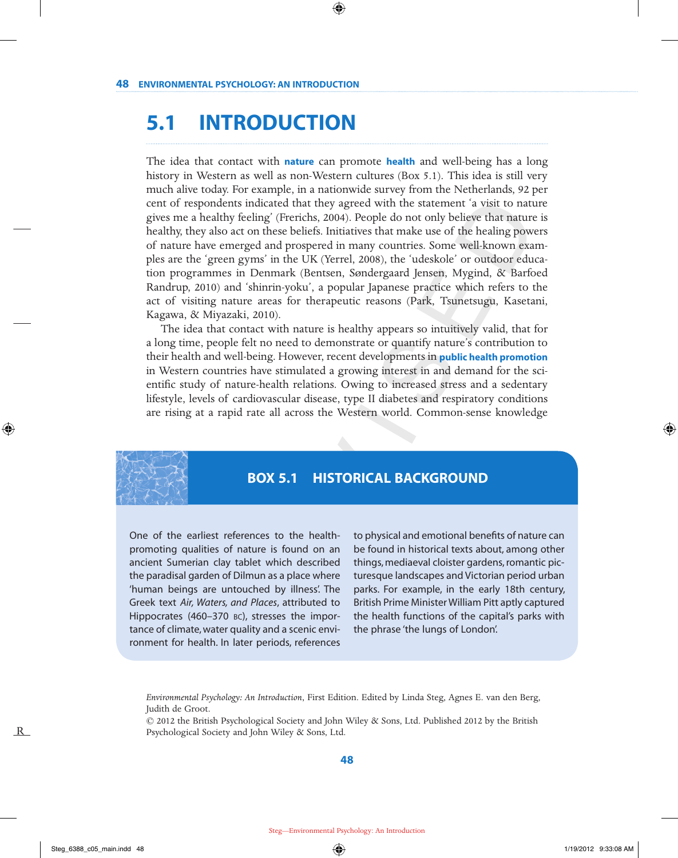# **5.1 Introduction**

is indicated that they agreed with the statement 'a visit to nature freling' (Frenchs, 2004). People do not only believe that nature<br>to m these beliefs. Initiatives that make use of the healing power<br>experience in many cou The idea that contact with **nature** can promote **health** and well-being has a long history in Western as well as non-Western cultures (Box 5.1). This idea is still very much alive today. For example, in a nationwide survey from the Netherlands, 92 per cent of respondents indicated that they agreed with the statement 'a visit to nature gives me a healthy feeling' (Frerichs, 2004). People do not only believe that nature is healthy, they also act on these beliefs. Initiatives that make use of the healing powers of nature have emerged and prospered in many countries. Some well-known examples are the 'green gyms' in the UK (Yerrel, 2008), the 'udeskole' or outdoor education programmes in Denmark (Bentsen, Søndergaard Jensen, Mygind, & Barfoed Randrup, 2010) and 'shinrin-yoku', a popular Japanese practice which refers to the act of visiting nature areas for therapeutic reasons (Park, Tsunetsugu, Kasetani, Kagawa, & Miyazaki, 2010).

 $\bigoplus$ 

The idea that contact with nature is healthy appears so intuitively valid, that for a long time, people felt no need to demonstrate or quantify nature's contribution to their health and well-being. However, recent developments in **public health promotion** in Western countries have stimulated a growing interest in and demand for the scientific study of nature-health relations. Owing to increased stress and a sedentary lifestyle, levels of cardiovascular disease, type II diabetes and respiratory conditions are rising at a rapid rate all across the Western world. Common-sense knowledge



#### **BOX 5.1 Historical Background**

One of the earliest references to the healthpromoting qualities of nature is found on an ancient Sumerian clay tablet which described the paradisal garden of Dilmun as a place where 'human beings are untouched by illness'. The Greek text *Air, Waters, and Places*, attributed to Hippocrates (460-370 BC), stresses the importance of climate, water quality and a scenic environment for health. In later periods, references

to physical and emotional benefits of nature can be found in historical texts about, among other things,mediaeval cloister gardens,romantic picturesque landscapes and Victorian period urban parks. For example, in the early 18th century, British Prime Minister William Pitt aptly captured the health functions of the capital's parks with the phrase 'the lungs of London'.

*Environmental Psychology: An Introduction*, First Edition. Edited by Linda Steg, Agnes E. van den Berg, Judith de Groot.

© 2012 the British Psychological Society and John Wiley & Sons, Ltd. Published 2012 by the British Psychological Society and John Wiley & Sons, Ltd.

**48**

R

⊕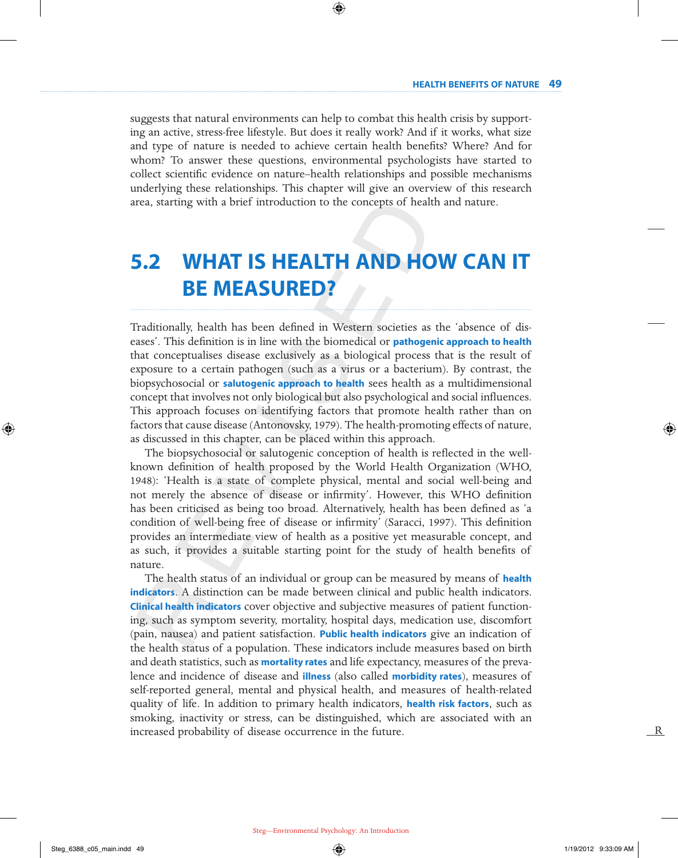suggests that natural environments can help to combat this health crisis by supporting an active, stress-free lifestyle. But does it really work? And if it works, what size and type of nature is needed to achieve certain health benefits? Where? And for whom? To answer these questions, environmental psychologists have started to collect scientific evidence on nature–health relationships and possible mechanisms underlying these relationships. This chapter will give an overview of this research area, starting with a brief introduction to the concepts of health and nature.

⊕

# **5.2 What Is Health and How Can It Be Measured?**

rea, starting with a brief introduction to the concepts of healt<br> **5.2 WHAT IS HEALTH AND HO**<br> **BE MEASURED?**<br> **REALTH AND HO**<br> **REALTH AND HO**<br> **REALTH AND HO**<br> **REALTH AND HO**<br> **REALTH AND HO**<br> **REALTH AND HO**<br> **REALTH A** Traditionally, health has been defined in Western societies as the 'absence of diseases'. This definition is in line with the biomedical or **pathogenic approach to health** that conceptualises disease exclusively as a biological process that is the result of exposure to a certain pathogen (such as a virus or a bacterium). By contrast, the biopsychosocial or **salutogenic approach to health** sees health as a multidimensional concept that involves not only biological but also psychological and social influences. This approach focuses on identifying factors that promote health rather than on factors that cause disease (Antonovsky, 1979). The health-promoting effects of nature, as discussed in this chapter, can be placed within this approach.

The biopsychosocial or salutogenic conception of health is reflected in the wellknown definition of health proposed by the World Health Organization (WHO, 1948): 'Health is a state of complete physical, mental and social well-being and not merely the absence of disease or infirmity'. However, this WHO definition has been criticised as being too broad. Alternatively, health has been defined as 'a condition of well-being free of disease or infirmity' (Saracci, 1997). This definition provides an intermediate view of health as a positive yet measurable concept, and as such, it provides a suitable starting point for the study of health benefits of nature.

The health status of an individual or group can be measured by means of **health indicators**. A distinction can be made between clinical and public health indicators. **Clinical health indicators** cover objective and subjective measures of patient functioning, such as symptom severity, mortality, hospital days, medication use, discomfort (pain, nausea) and patient satisfaction. **Public health indicators** give an indication of the health status of a population. These indicators include measures based on birth and death statistics, such as **mortality rates** and life expectancy, measures of the prevalence and incidence of disease and **illness** (also called **morbidity rates**), measures of self-reported general, mental and physical health, and measures of health-related quality of life. In addition to primary health indicators, **health risk factors**, such as smoking, inactivity or stress, can be distinguished, which are associated with an increased probability of disease occurrence in the future.

⊕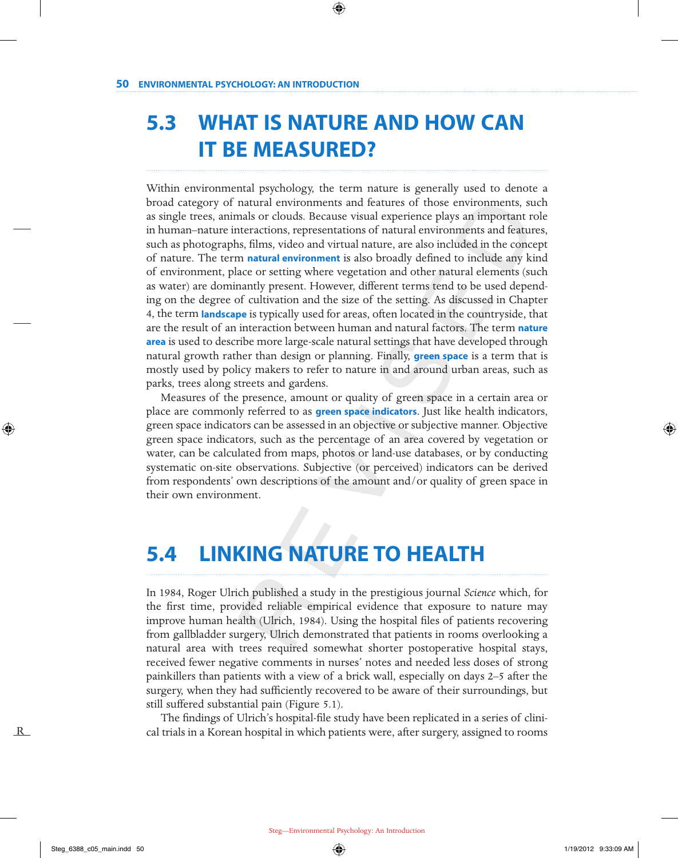# **5.3 What Is Nature and How Can It Be Measured?**

⊕

natural environments and features of those environments, su<br>natural environments and features civale aperience plays an important re<br>interactions, representations of natural environments and feature<br>is, films, video and vi Within environmental psychology, the term nature is generally used to denote a broad category of natural environments and features of those environments, such as single trees, animals or clouds. Because visual experience plays an important role in human–nature interactions, representations of natural environments and features, such as photographs, films, video and virtual nature, are also included in the concept of nature. The term **natural environment** is also broadly defined to include any kind of environment, place or setting where vegetation and other natural elements (such as water) are dominantly present. However, different terms tend to be used depending on the degree of cultivation and the size of the setting. As discussed in Chapter 4, the term **landscape** is typically used for areas, often located in the countryside, that are the result of an interaction between human and natural factors. The term **nature area** is used to describe more large-scale natural settings that have developed through natural growth rather than design or planning. Finally, **green space** is a term that is mostly used by policy makers to refer to nature in and around urban areas, such as parks, trees along streets and gardens.

Measures of the presence, amount or quality of green space in a certain area or place are commonly referred to as **green space indicators**. Just like health indicators, green space indicators can be assessed in an objective or subjective manner. Objective green space indicators, such as the percentage of an area covered by vegetation or water, can be calculated from maps, photos or land-use databases, or by conducting systematic on-site observations. Subjective (or perceived) indicators can be derived from respondents' own descriptions of the amount and/or quality of green space in their own environment.

# **5.4 Linking Nature to Health**

In 1984, Roger Ulrich published a study in the prestigious journal *Science* which, for the first time, provided reliable empirical evidence that exposure to nature may improve human health (Ulrich, 1984). Using the hospital files of patients recovering from gallbladder surgery, Ulrich demonstrated that patients in rooms overlooking a natural area with trees required somewhat shorter postoperative hospital stays, received fewer negative comments in nurses' notes and needed less doses of strong painkillers than patients with a view of a brick wall, especially on days 2–5 after the surgery, when they had sufficiently recovered to be aware of their surroundings, but still suffered substantial pain (Figure 5.1).

The findings of Ulrich's hospital-file study have been replicated in a series of clinical trials in a Korean hospital in which patients were, after surgery, assigned to rooms

R

⊕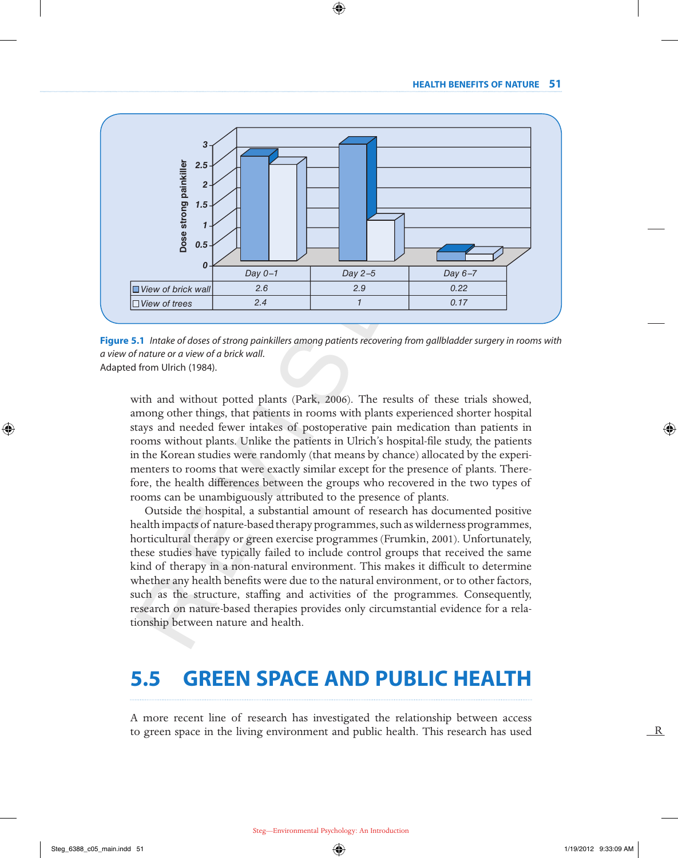#### **HEALTH BENEFITS OF NATURE 51**



 $\bigoplus$ 

**Figure 5.1** *Intake of doses of strong painkillers among patients recovering from gallbladder surgery in rooms with a view of nature or a view of a brick wall*.

Adapted from Ulrich (1984).

⊕

with and without potted plants (Park, 2006). The results of these trials showed, among other things, that patients in rooms with plants experienced shorter hospital stays and needed fewer intakes of postoperative pain medication than patients in rooms without plants. Unlike the patients in Ulrich's hospital-file study, the patients in the Korean studies were randomly (that means by chance) allocated by the experimenters to rooms that were exactly similar except for the presence of plants. Therefore, the health differences between the groups who recovered in the two types of rooms can be unambiguously attributed to the presence of plants.

Outside the hospital, a substantial amount of research has documented positive health impacts of nature-based therapy programmes, such as wilderness programmes, horticultural therapy or green exercise programmes (Frumkin, 2001). Unfortunately, these studies have typically failed to include control groups that received the same kind of therapy in a non-natural environment. This makes it difficult to determine whether any health benefits were due to the natural environment, or to other factors, such as the structure, staffing and activities of the programmes. Consequently, research on nature-based therapies provides only circumstantial evidence for a relationship between nature and health.

### **5.5 Green Space and Public Health**

A more recent line of research has investigated the relationship between access to green space in the living environment and public health. This research has used

 $R$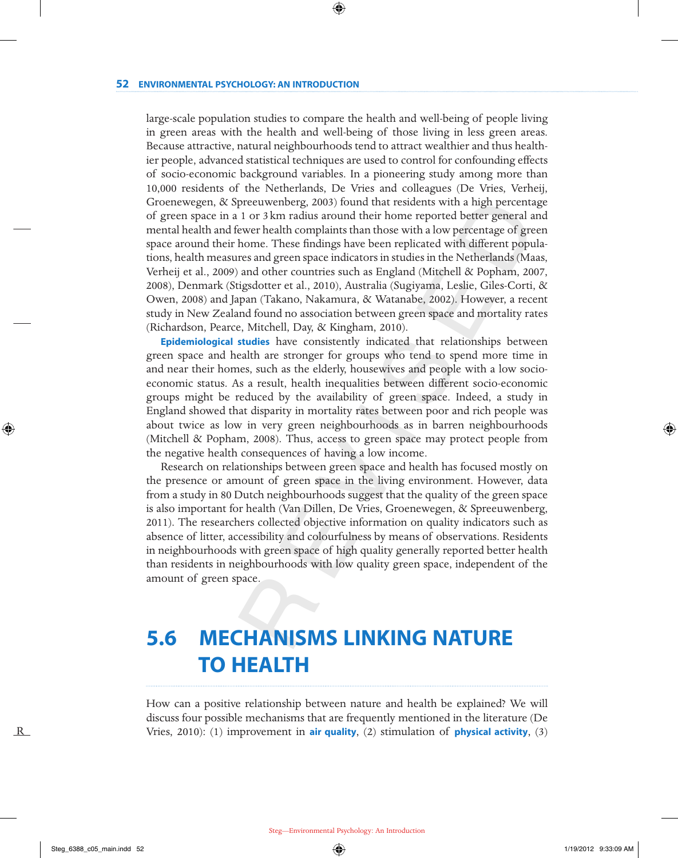#### **52 ENVIRONMENTAL PSYCHOLOGY: AN INTRODUCTION**

preeuvenberg, 2003) found that residents with a high percenta 1 or 3 km ratius around their home reported better general agrees and green percentations in the home reported better general agrees home. These findings have b large-scale population studies to compare the health and well-being of people living in green areas with the health and well-being of those living in less green areas. Because attractive, natural neighbourhoods tend to attract wealthier and thus healthier people, advanced statistical techniques are used to control for confounding effects of socio-economic background variables. In a pioneering study among more than 10,000 residents of the Netherlands, De Vries and colleagues (De Vries, Verheij, Groenewegen, & Spreeuwenberg, 2003) found that residents with a high percentage of green space in a 1 or 3 km radius around their home reported better general and mental health and fewer health complaints than those with a low percentage of green space around their home. These findings have been replicated with different populations, health measures and green space indicators in studies in the Netherlands (Maas, Verheij et al., 2009) and other countries such as England (Mitchell & Popham, 2007, 2008), Denmark (Stigsdotter et al., 2010), Australia (Sugiyama, Leslie, Giles-Corti, & Owen, 2008) and Japan (Takano, Nakamura, & Watanabe, 2002). However, a recent study in New Zealand found no association between green space and mortality rates (Richardson, Pearce, Mitchell, Day, & Kingham, 2010).

⊕

**Epidemiological studies** have consistently indicated that relationships between green space and health are stronger for groups who tend to spend more time in and near their homes, such as the elderly, housewives and people with a low socioeconomic status. As a result, health inequalities between different socio-economic groups might be reduced by the availability of green space. Indeed, a study in England showed that disparity in mortality rates between poor and rich people was about twice as low in very green neighbourhoods as in barren neighbourhoods (Mitchell & Popham, 2008). Thus, access to green space may protect people from the negative health consequences of having a low income.

Research on relationships between green space and health has focused mostly on the presence or amount of green space in the living environment. However, data from a study in 80 Dutch neighbourhoods suggest that the quality of the green space is also important for health (Van Dillen, De Vries, Groenewegen, & Spreeuwenberg, 2011). The researchers collected objective information on quality indicators such as absence of litter, accessibility and colourfulness by means of observations. Residents in neighbourhoods with green space of high quality generally reported better health than residents in neighbourhoods with low quality green space, independent of the amount of green space.

# **5.6 Mechanisms Linking Nature to Health**

How can a positive relationship between nature and health be explained? We will discuss four possible mechanisms that are frequently mentioned in the literature (De Vries, 2010): (1) improvement in **air quality**, (2) stimulation of **physical activity**, (3)

R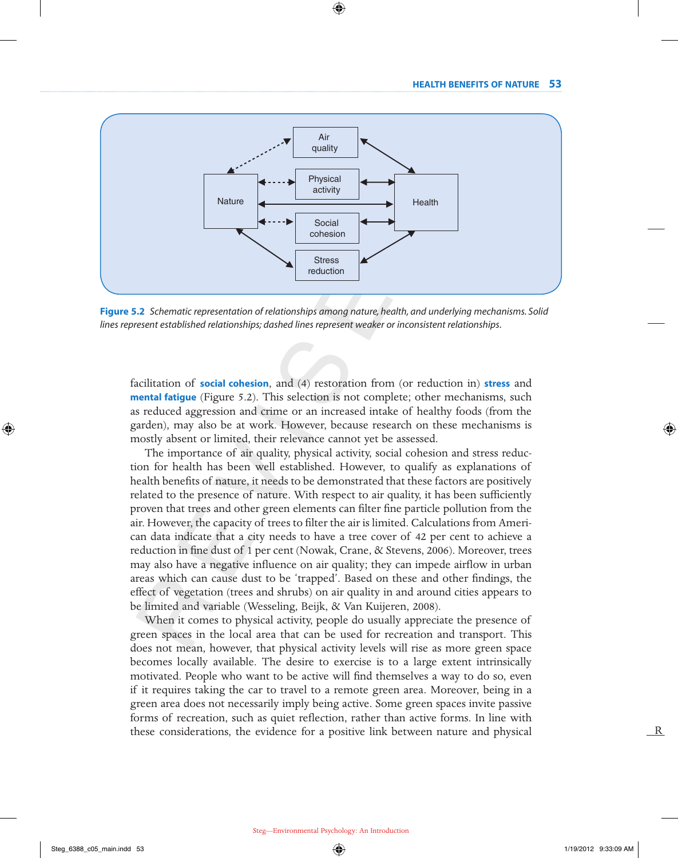#### **HEALTH BENEFITS OF NATURE 53**



 $\bigoplus$ 

**Figure 5.2** *Schematic representation of relationships among nature, health, and underlying mechanisms. Solid lines represent established relationships; dashed lines represent weaker or inconsistent relationships*.

facilitation of **social cohesion**, and (4) restoration from (or reduction in) **stress** and **mental fatigue** (Figure 5.2). This selection is not complete; other mechanisms, such as reduced aggression and crime or an increased intake of healthy foods (from the garden), may also be at work. However, because research on these mechanisms is mostly absent or limited, their relevance cannot yet be assessed.

Mature<br>
Social Social Social Social Social Social Social Social Social Social Social Social Social Social Social Social Material Social Material Social Reduction<br>
Social Social Social Constrainers (Figure 5.2). This sleed The importance of air quality, physical activity, social cohesion and stress reduction for health has been well established. However, to qualify as explanations of health benefits of nature, it needs to be demonstrated that these factors are positively related to the presence of nature. With respect to air quality, it has been sufficiently proven that trees and other green elements can filter fine particle pollution from the air. However, the capacity of trees to filter the air is limited. Calculations from American data indicate that a city needs to have a tree cover of 42 per cent to achieve a reduction in fine dust of 1 per cent (Nowak, Crane, & Stevens, 2006). Moreover, trees may also have a negative influence on air quality; they can impede airflow in urban areas which can cause dust to be 'trapped'. Based on these and other findings, the effect of vegetation (trees and shrubs) on air quality in and around cities appears to be limited and variable (Wesseling, Beijk, & Van Kuijeren, 2008).

When it comes to physical activity, people do usually appreciate the presence of green spaces in the local area that can be used for recreation and transport. This does not mean, however, that physical activity levels will rise as more green space becomes locally available. The desire to exercise is to a large extent intrinsically motivated. People who want to be active will find themselves a way to do so, even if it requires taking the car to travel to a remote green area. Moreover, being in a green area does not necessarily imply being active. Some green spaces invite passive forms of recreation, such as quiet reflection, rather than active forms. In line with these considerations, the evidence for a positive link between nature and physical

⊕

 $R$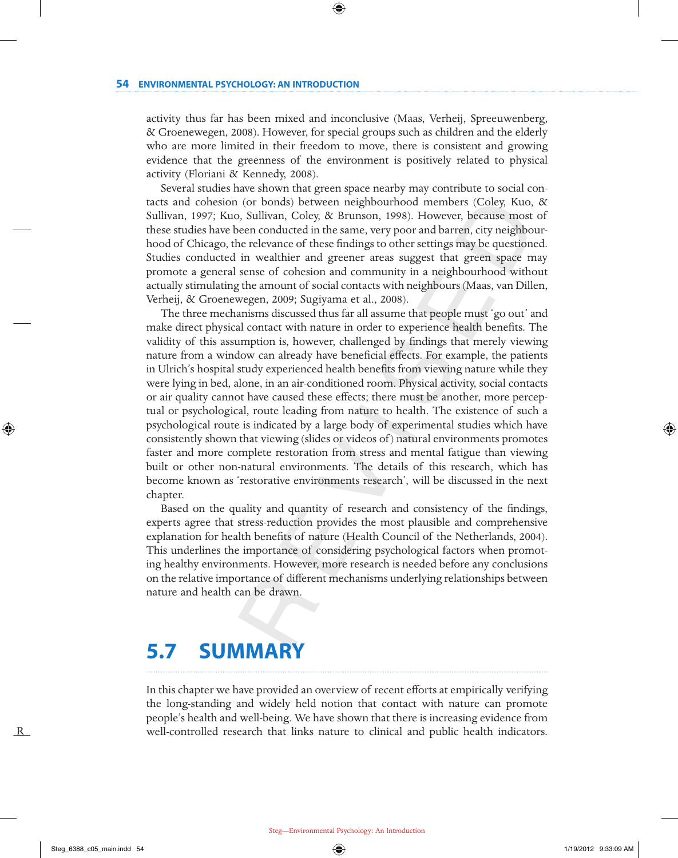#### **54 ENVIRONMENTAL PSYCHOLOGY: AN INTRODUCTION**

activity thus far has been mixed and inconclusive (Maas, Verheij, Spreeuwenberg, & Groenewegen, 2008). However, for special groups such as children and the elderly who are more limited in their freedom to move, there is consistent and growing evidence that the greenness of the environment is positively related to physical activity (Floriani & Kennedy, 2008).

⊕

Several studies have shown that green space nearby may contribute to social contacts and cohesion (or bonds) between neighbourhood members (Coley, Kuo, & Sullivan, 1997; Kuo, Sullivan, Coley, & Brunson, 1998). However, because most of these studies have been conducted in the same, very poor and barren, city neighbourhood of Chicago, the relevance of these findings to other settings may be questioned. Studies conducted in wealthier and greener areas suggest that green space may promote a general sense of cohesion and community in a neighbourhood without actually stimulating the amount of social contacts with neighbours (Maas, van Dillen, Verheij, & Groenewegen, 2009; Sugiyama et al., 2008).

(or bonds) between neighbourhood members (Coley, Kuo, Sullivan, Coley, Kuo, Sullivan, Coley, & Brunson, 1998). However, because most once are onducted in the same, very poor and barren, city neighbourhoc relevance of thes The three mechanisms discussed thus far all assume that people must 'go out' and make direct physical contact with nature in order to experience health benefits. The validity of this assumption is, however, challenged by findings that merely viewing nature from a window can already have beneficial effects. For example, the patients in Ulrich's hospital study experienced health benefits from viewing nature while they were lying in bed, alone, in an air-conditioned room. Physical activity, social contacts or air quality cannot have caused these effects; there must be another, more perceptual or psychological, route leading from nature to health. The existence of such a psychological route is indicated by a large body of experimental studies which have consistently shown that viewing (slides or videos of) natural environments promotes faster and more complete restoration from stress and mental fatigue than viewing built or other non-natural environments. The details of this research, which has become known as 'restorative environments research', will be discussed in the next chapter.

Based on the quality and quantity of research and consistency of the findings, experts agree that stress-reduction provides the most plausible and comprehensive explanation for health benefits of nature (Health Council of the Netherlands, 2004). This underlines the importance of considering psychological factors when promoting healthy environments. However, more research is needed before any conclusions on the relative importance of different mechanisms underlying relationships between nature and health can be drawn.

# **5.7 Summary**

In this chapter we have provided an overview of recent efforts at empirically verifying the long-standing and widely held notion that contact with nature can promote people's health and well-being. We have shown that there is increasing evidence from well-controlled research that links nature to clinical and public health indicators.

R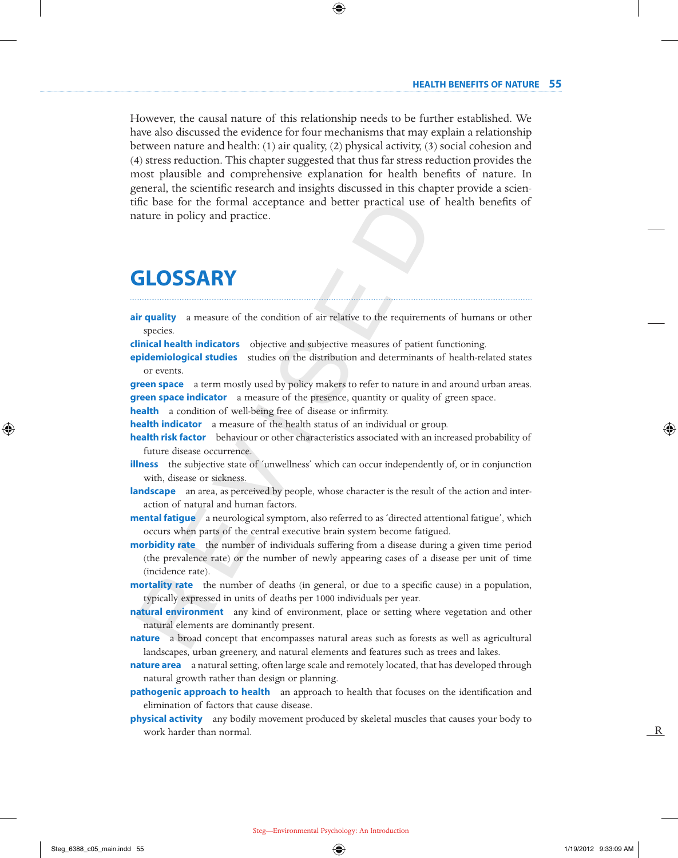However, the causal nature of this relationship needs to be further established. We have also discussed the evidence for four mechanisms that may explain a relationship between nature and health: (1) air quality, (2) physical activity, (3) social cohesion and (4) stress reduction. This chapter suggested that thus far stress reduction provides the most plausible and comprehensive explanation for health benefits of nature. In general, the scientific research and insights discussed in this chapter provide a scientific base for the formal acceptance and better practical use of health benefits of nature in policy and practice.

⊕

### **Glossary**

- **air quality** a measure of the condition of air relative to the requirements of humans or other species.
- **clinical health indicators** objective and subjective measures of patient functioning.
- **epidemiological studies** studies on the distribution and determinants of health-related states or events.

**green space** a term mostly used by policy makers to refer to nature in and around urban areas. **green space indicator** a measure of the presence, quantity or quality of green space.

**health** a condition of well-being free of disease or infirmity.

**health indicator** a measure of the health status of an individual or group.

- **health risk factor** behaviour or other characteristics associated with an increased probability of future disease occurrence.
- **illness** the subjective state of 'unwellness' which can occur independently of, or in conjunction with, disease or sickness.
- **landscape** an area, as perceived by people, whose character is the result of the action and interaction of natural and human factors.
- **mental fatigue** a neurological symptom, also referred to as 'directed attentional fatigue', which occurs when parts of the central executive brain system become fatigued.
- fic base for the formal acceptance and better practical use c<br>ature in policy and practice.<br>
<br> **GLOSSARY**<br>
<br> **ir quality** a measure of the condition of air relative to the requireme<br>
species.<br>
<br>
Birical health indicators o **morbidity rate** the number of individuals suffering from a disease during a given time period (the prevalence rate) or the number of newly appearing cases of a disease per unit of time (incidence rate).
- **mortality rate** the number of deaths (in general, or due to a specific cause) in a population, typically expressed in units of deaths per 1000 individuals per year.
- **natural environment** any kind of environment, place or setting where vegetation and other natural elements are dominantly present.
- **nature** a broad concept that encompasses natural areas such as forests as well as agricultural landscapes, urban greenery, and natural elements and features such as trees and lakes.
- **nature area** a natural setting, often large scale and remotely located, that has developed through natural growth rather than design or planning.
- **pathogenic approach to health** an approach to health that focuses on the identification and elimination of factors that cause disease.
- **physical activity** any bodily movement produced by skeletal muscles that causes your body to work harder than normal.